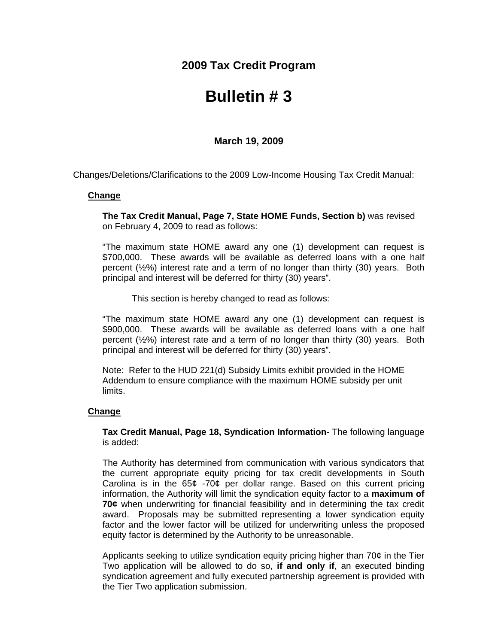**2009 Tax Credit Program**

## **Bulletin # 3**

**March 19, 2009** 

Changes/Deletions/Clarifications to the 2009 Low-Income Housing Tax Credit Manual:

## **Change**

**The Tax Credit Manual, Page 7, State HOME Funds, Section b)** was revised on February 4, 2009 to read as follows:

"The maximum state HOME award any one (1) development can request is \$700,000. These awards will be available as deferred loans with a one half percent  $(\frac{1}{2}\%)$  interest rate and a term of no longer than thirty (30) years. Both principal and interest will be deferred for thirty (30) years".

This section is hereby changed to read as follows:

"The maximum state HOME award any one (1) development can request is \$900,000. These awards will be available as deferred loans with a one half percent  $(\frac{1}{2}\%)$  interest rate and a term of no longer than thirty (30) years. Both principal and interest will be deferred for thirty (30) years".

Note: Refer to the HUD 221(d) Subsidy Limits exhibit provided in the HOME Addendum to ensure compliance with the maximum HOME subsidy per unit limits.

## **Change**

**Tax Credit Manual, Page 18, Syndication Information-** The following language is added:

The Authority has determined from communication with various syndicators that the current appropriate equity pricing for tax credit developments in South Carolina is in the  $65¢ -70¢$  per dollar range. Based on this current pricing information, the Authority will limit the syndication equity factor to a **maximum of 70¢** when underwriting for financial feasibility and in determining the tax credit award. Proposals may be submitted representing a lower syndication equity factor and the lower factor will be utilized for underwriting unless the proposed equity factor is determined by the Authority to be unreasonable.

Applicants seeking to utilize syndication equity pricing higher than  $70¢$  in the Tier Two application will be allowed to do so, **if and only if**, an executed binding syndication agreement and fully executed partnership agreement is provided with the Tier Two application submission.